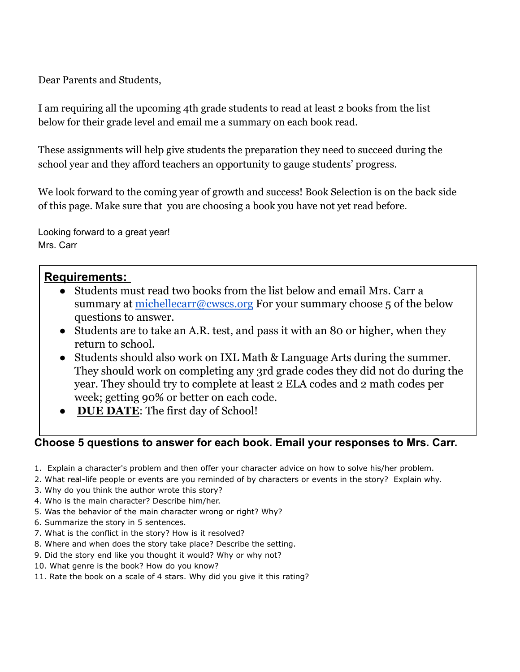Dear Parents and Students,

I am requiring all the upcoming 4th grade students to read at least 2 books from the list below for their grade level and email me a summary on each book read.

These assignments will help give students the preparation they need to succeed during the school year and they afford teachers an opportunity to gauge students' progress.

We look forward to the coming year of growth and success! Book Selection is on the back side of this page. Make sure that you are choosing a book you have not yet read before.

Looking forward to a great year! Mrs. Carr

## **Requirements:**

- Students must read two books from the list below and email Mrs. Carr a summary at <u>[michellecarr@cwscs.org](mailto:michellecarr@cwscs.org)</u> For your summary choose 5 of the below questions to answer.
- Students are to take an A.R. test, and pass it with an 80 or higher, when they return to school.
- Students should also work on IXL Math & Language Arts during the summer. They should work on completing any 3rd grade codes they did not do during the year. They should try to complete at least 2 ELA codes and 2 math codes per week; getting 90% or better on each code.
- **DUE DATE**: The first day of School!

## **Choose 5 questions to answer for each book. Email your responses to Mrs. Carr.**

- 1. Explain a character's problem and then offer your character advice on how to solve his/her problem.
- 2. What real-life people or events are you reminded of by characters or events in the story? Explain why.
- 3. Why do you think the author wrote this story?
- 4. Who is the main character? Describe him/her.
- 5. Was the behavior of the main character wrong or right? Why?
- 6. Summarize the story in 5 sentences.
- 7. What is the conflict in the story? How is it resolved?
- 8. Where and when does the story take place? Describe the setting.
- 9. Did the story end like you thought it would? Why or why not?
- 10. What genre is the book? How do you know?
- 11. Rate the book on a scale of 4 stars. Why did you give it this rating?